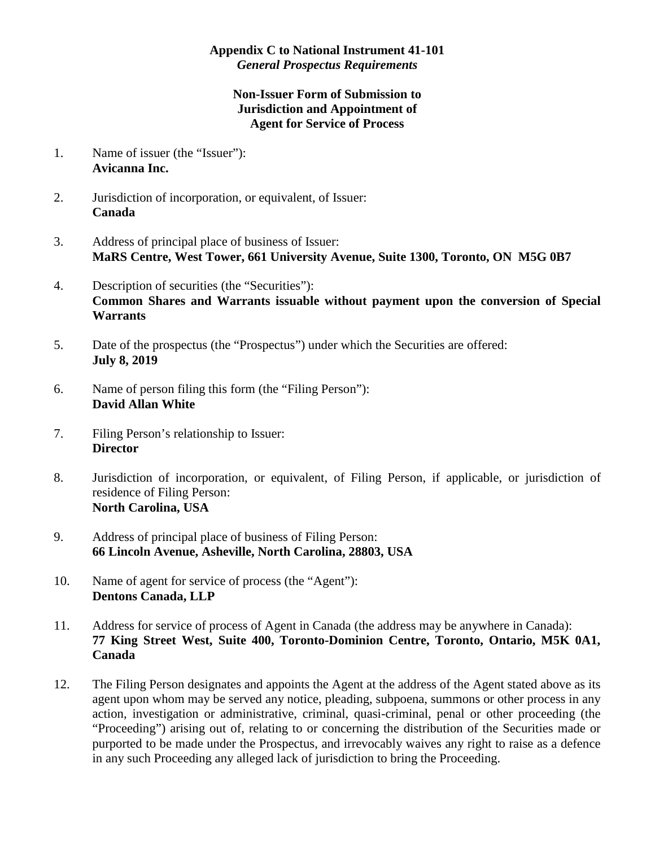## **Appendix C to National Instrument 41-101**  *General Prospectus Requirements*

## **Non-Issuer Form of Submission to Jurisdiction and Appointment of Agent for Service of Process**

- 1. Name of issuer (the "Issuer"): **Avicanna Inc.**
- 2. Jurisdiction of incorporation, or equivalent, of Issuer: **Canada**
- 3. Address of principal place of business of Issuer: **MaRS Centre, West Tower, 661 University Avenue, Suite 1300, Toronto, ON M5G 0B7**
- 4. Description of securities (the "Securities"): **Common Shares and Warrants issuable without payment upon the conversion of Special Warrants**
- 5. Date of the prospectus (the "Prospectus") under which the Securities are offered: **July 8, 2019**
- 6. Name of person filing this form (the "Filing Person"): **David Allan White**
- 7. Filing Person's relationship to Issuer: **Director**
- 8. Jurisdiction of incorporation, or equivalent, of Filing Person, if applicable, or jurisdiction of residence of Filing Person: **North Carolina, USA**
- 9. Address of principal place of business of Filing Person: **66 Lincoln Avenue, Asheville, North Carolina, 28803, USA**
- 10. Name of agent for service of process (the "Agent"): **Dentons Canada, LLP**
- 11. Address for service of process of Agent in Canada (the address may be anywhere in Canada): **77 King Street West, Suite 400, Toronto-Dominion Centre, Toronto, Ontario, M5K 0A1, Canada**
- 12. The Filing Person designates and appoints the Agent at the address of the Agent stated above as its agent upon whom may be served any notice, pleading, subpoena, summons or other process in any action, investigation or administrative, criminal, quasi-criminal, penal or other proceeding (the "Proceeding") arising out of, relating to or concerning the distribution of the Securities made or purported to be made under the Prospectus, and irrevocably waives any right to raise as a defence in any such Proceeding any alleged lack of jurisdiction to bring the Proceeding.